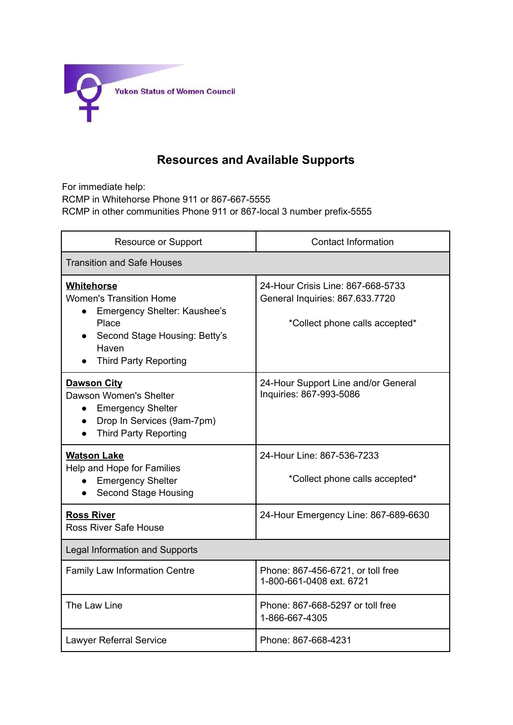

## **Resources and Available Supports**

For immediate help: RCMP in Whitehorse Phone 911 or 867-667-5555 RCMP in other communities Phone 911 or 867-local 3 number prefix-5555

| <b>Resource or Support</b>                                                                                                                                                   | <b>Contact Information</b>                                                                             |  |
|------------------------------------------------------------------------------------------------------------------------------------------------------------------------------|--------------------------------------------------------------------------------------------------------|--|
| <b>Transition and Safe Houses</b>                                                                                                                                            |                                                                                                        |  |
| Whitehorse<br><b>Women's Transition Home</b><br>Emergency Shelter: Kaushee's<br>$\bullet$<br>Place<br>Second Stage Housing: Betty's<br>Haven<br><b>Third Party Reporting</b> | 24-Hour Crisis Line: 867-668-5733<br>General Inquiries: 867.633.7720<br>*Collect phone calls accepted* |  |
| <b>Dawson City</b><br>Dawson Women's Shelter<br><b>Emergency Shelter</b><br>$\bullet$<br>Drop In Services (9am-7pm)<br><b>Third Party Reporting</b>                          | 24-Hour Support Line and/or General<br>Inquiries: 867-993-5086                                         |  |
| <b>Watson Lake</b><br>Help and Hope for Families<br><b>Emergency Shelter</b><br>Second Stage Housing                                                                         | 24-Hour Line: 867-536-7233<br>*Collect phone calls accepted*                                           |  |
| <b>Ross River</b><br><b>Ross River Safe House</b>                                                                                                                            | 24-Hour Emergency Line: 867-689-6630                                                                   |  |
| Legal Information and Supports                                                                                                                                               |                                                                                                        |  |
| Family Law Information Centre                                                                                                                                                | Phone: 867-456-6721, or toll free<br>1-800-661-0408 ext. 6721                                          |  |
| The Law Line                                                                                                                                                                 | Phone: 867-668-5297 or toll free<br>1-866-667-4305                                                     |  |
| <b>Lawyer Referral Service</b>                                                                                                                                               | Phone: 867-668-4231                                                                                    |  |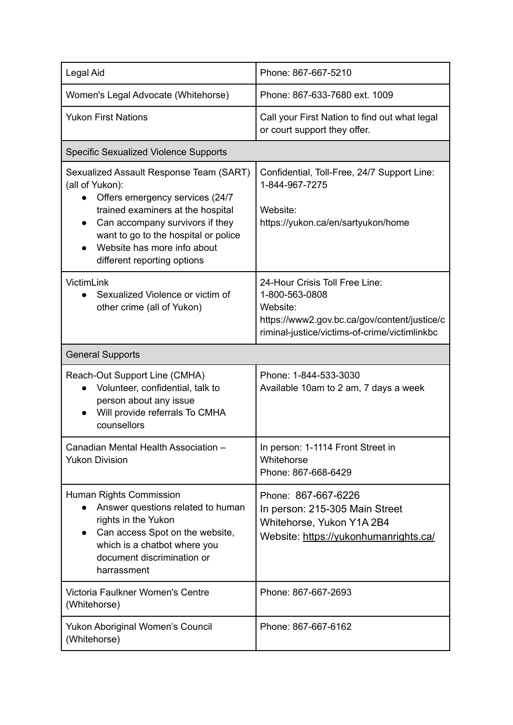| Legal Aid                                                                                                                                                                                                                                                                                 | Phone: 867-667-5210                                                                                                                                           |  |
|-------------------------------------------------------------------------------------------------------------------------------------------------------------------------------------------------------------------------------------------------------------------------------------------|---------------------------------------------------------------------------------------------------------------------------------------------------------------|--|
| Women's Legal Advocate (Whitehorse)                                                                                                                                                                                                                                                       | Phone: 867-633-7680 ext. 1009                                                                                                                                 |  |
| <b>Yukon First Nations</b>                                                                                                                                                                                                                                                                | Call your First Nation to find out what legal<br>or court support they offer.                                                                                 |  |
| Specific Sexualized Violence Supports                                                                                                                                                                                                                                                     |                                                                                                                                                               |  |
| Sexualized Assault Response Team (SART)<br>(all of Yukon):<br>Offers emergency services (24/7)<br>trained examiners at the hospital<br>Can accompany survivors if they<br>$\bullet$<br>want to go to the hospital or police<br>Website has more info about<br>different reporting options | Confidential, Toll-Free, 24/7 Support Line:<br>1-844-967-7275<br>Website:<br>https://yukon.ca/en/sartyukon/home                                               |  |
| VictimLink<br>Sexualized Violence or victim of<br>$\bullet$<br>other crime (all of Yukon)                                                                                                                                                                                                 | 24-Hour Crisis Toll Free Line:<br>1-800-563-0808<br>Website:<br>https://www2.gov.bc.ca/gov/content/justice/c<br>riminal-justice/victims-of-crime/victimlinkbc |  |
| <b>General Supports</b>                                                                                                                                                                                                                                                                   |                                                                                                                                                               |  |
| Reach-Out Support Line (CMHA)<br>Volunteer, confidential, talk to<br>$\bullet$<br>person about any issue<br>Will provide referrals To CMHA<br>counsellors                                                                                                                                 | Phone: 1-844-533-3030<br>Available 10am to 2 am, 7 days a week                                                                                                |  |
| Canadian Mental Health Association -<br><b>Yukon Division</b>                                                                                                                                                                                                                             | In person: 1-1114 Front Street in<br>Whitehorse<br>Phone: 867-668-6429                                                                                        |  |
| Human Rights Commission<br>Answer questions related to human<br>rights in the Yukon<br>Can access Spot on the website,<br>$\bullet$<br>which is a chatbot where you<br>document discrimination or<br>harrassment                                                                          | Phone: 867-667-6226<br>In person: 215-305 Main Street<br>Whitehorse, Yukon Y1A 2B4<br>Website: https://yukonhumanrights.ca/                                   |  |
| Victoria Faulkner Women's Centre<br>(Whitehorse)                                                                                                                                                                                                                                          | Phone: 867-667-2693                                                                                                                                           |  |
| Yukon Aboriginal Women's Council<br>(Whitehorse)                                                                                                                                                                                                                                          | Phone: 867-667-6162                                                                                                                                           |  |